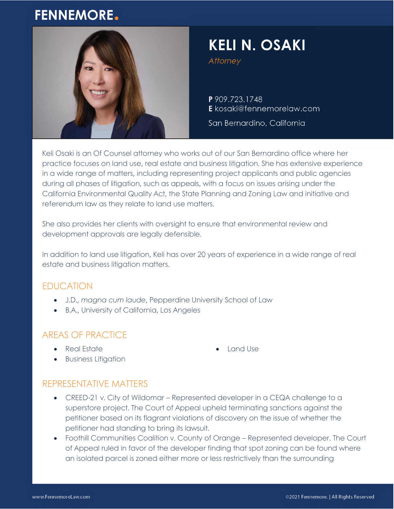# **FENNEMORE.**



# **KELI N. OSAKI**

Attorney

P 909.723.1748 E kosaki@fennemorelaw.com

San Bernardino, California

Keli Osaki is an Of Counsel attorney who works out of our San Bernardino office where her practice focuses on land use, real estate and business litigation. She has extensive experience in a wide range of matters, including representing project applicants and public agencies during all phases of litigation, such as appeals, with a focus on issues arising under the California Environmental Quality Act, the State Planning and Zoning Law and initiative and referendum law as they relate to land use matters.

She also provides her clients with oversight to ensure that environmental review and development approvals are legally defensible.

In addition to land use litigation, Keli has over 20 years of experience in a wide range of real estate and business litigation matters.

## EDUCATION

- J.D., *magna cum laude*, Pepperdine University School of Law
- B.A., University of California, Los Angeles

## AREAS OF PRACTICE

• Real Estate

• Land Use

• Business Litigation

#### REPRESENTATIVE MATTERS

- CREED-21 v. City of Wildomar Represented developer in a CEQA challenge to a superstore project. The Court of Appeal upheld terminating sanctions against the petitioner based on its flagrant violations of discovery on the issue of whether the petitioner had standing to bring its lawsuit.
- Foothill Communities Coalition v. County of Orange Represented developer. The Court of Appeal ruled in favor of the developer finding that spot zoning can be found where an isolated parcel is zoned either more or less restrictively than the surrounding